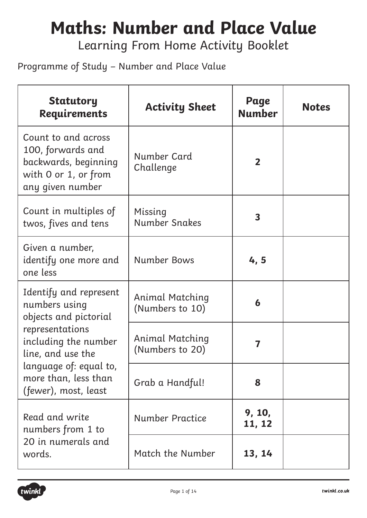#### **Maths: Number and Place Value**

Learning From Home Activity Booklet

Programme of Study – Number and Place Value

| <b>Statutory</b><br><b>Requirements</b>                                                                      | <b>Activity Sheet</b>                     | Page<br><b>Number</b>   | <b>Notes</b> |
|--------------------------------------------------------------------------------------------------------------|-------------------------------------------|-------------------------|--------------|
| Count to and across<br>100, forwards and<br>backwards, beginning<br>with 0 or 1, or from<br>any given number | Number Card<br>Challenge                  | $\overline{2}$          |              |
| Count in multiples of<br>twos, fives and tens                                                                | Missing<br><b>Number Snakes</b>           | $\overline{\mathbf{3}}$ |              |
| Given a number,<br>identify one more and<br>one less                                                         | <b>Number Bows</b>                        | 4,5                     |              |
| Identify and represent<br>numbers using<br>objects and pictorial                                             | <b>Animal Matching</b><br>(Numbers to 10) | 6                       |              |
| representations<br>including the number<br>line, and use the                                                 | Animal Matching<br>(Numbers to 20)        | 7                       |              |
| language of: equal to,<br>more than, less than<br>(fewer), most, least                                       | Grab a Handful!                           | 8                       |              |
| Read and write<br>numbers from 1 to                                                                          | Number Practice                           | 9, 10,<br>11, 12        |              |
| 20 in numerals and<br>words.                                                                                 | Match the Number                          | 13, 14                  |              |

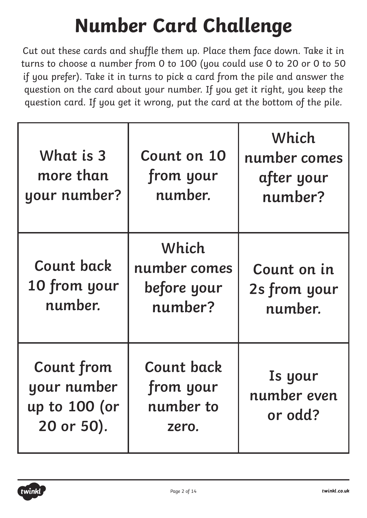## **Number Card Challenge**

Cut out these cards and shuffle them up. Place them face down. Take it in turns to choose a number from 0 to 100 (you could use 0 to 20 or 0 to 50 if you prefer). Take it in turns to pick a card from the pile and answer the question on the card about your number. If you get it right, you keep the question card. If you get it wrong, put the card at the bottom of the pile.

| What is 3<br>more than<br>your number?                          | Count on 10<br>from your<br>number.                  | Which<br>number comes<br>after your<br>number? |
|-----------------------------------------------------------------|------------------------------------------------------|------------------------------------------------|
| <b>Count back</b><br>10 from your<br>number.                    | Which<br>number comes<br>before your<br>number?      | Count on in<br>2s from your<br>number.         |
| <b>Count from</b><br>your number<br>up to 100 (or<br>20 or 50). | <b>Count back</b><br>from your<br>number to<br>zero. | Is your<br>number even<br>or odd?              |

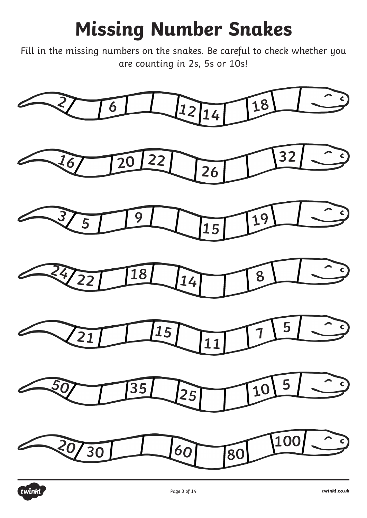## **Missing Number Snakes**

Fill in the missing numbers on the snakes. Be careful to check whether you are counting in 2s, 5s or 10s!



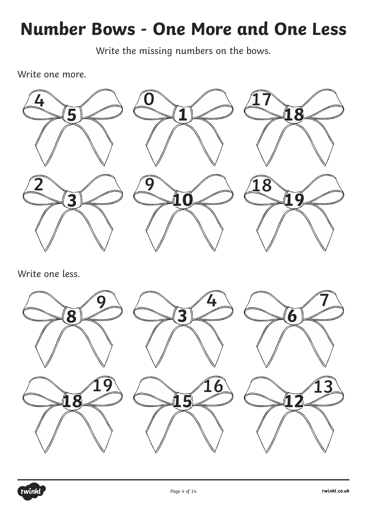#### **Number Bows - One More and One Less**

Write the missing numbers on the bows.

Write one more.



Write one less.



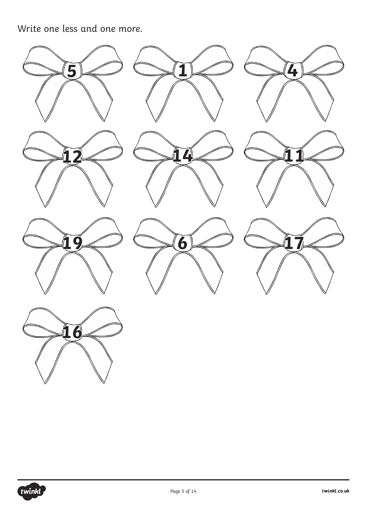Write one less and one more.



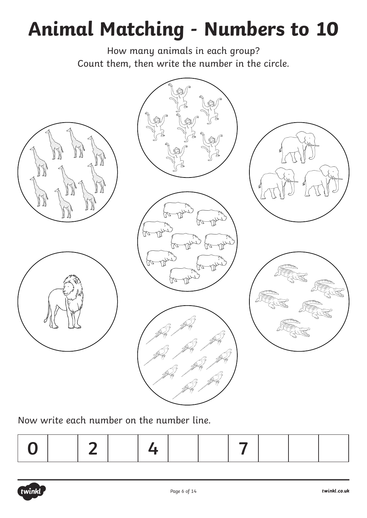# **Animal Matching - Numbers to 10**

How many animals in each group? Count them, then write the number in the circle.



Now write each number on the number line.

|--|--|--|--|--|--|--|--|--|--|--|

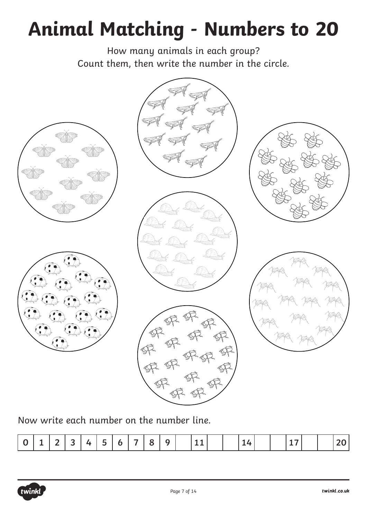## **Animal Matching - Numbers to 20**

How many animals in each group? Count them, then write the number in the circle.



Now write each number on the number line.

|  |  | $\overline{\phantom{0}}$ |  |  | --<br>- |  | - |  |  |  |  |  |  |  |  |  |  |  |  |  |
|--|--|--------------------------|--|--|---------|--|---|--|--|--|--|--|--|--|--|--|--|--|--|--|
|--|--|--------------------------|--|--|---------|--|---|--|--|--|--|--|--|--|--|--|--|--|--|--|

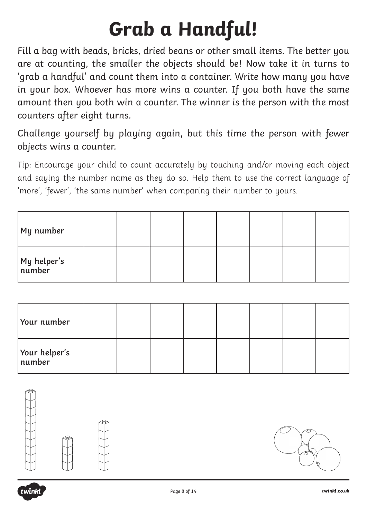## **Grab a Handful!**

Fill a bag with beads, bricks, dried beans or other small items. The better you are at counting, the smaller the objects should be! Now take it in turns to 'grab a handful' and count them into a container. Write how many you have in your box. Whoever has more wins a counter. If you both have the same amount then you both win a counter. The winner is the person with the most counters after eight turns.

Challenge yourself by playing again, but this time the person with fewer objects wins a counter.

Tip: Encourage your child to count accurately by touching and/or moving each object and saying the number name as they do so. Help them to use the correct language of 'more', 'fewer', 'the same number' when comparing their number to yours.

| My number              |  |  |  |  |
|------------------------|--|--|--|--|
| My helper's<br> number |  |  |  |  |

| Your number               |  |  |  |  |
|---------------------------|--|--|--|--|
| Your helper's<br>  number |  |  |  |  |







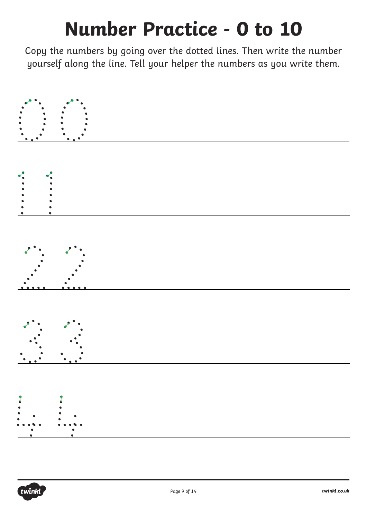#### **Number Practice - 0 to 10**

Copy the numbers by going over the dotted lines. Then write the number yourself along the line. Tell your helper the numbers as you write them.



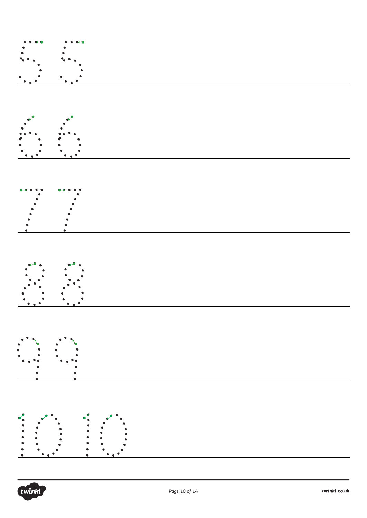









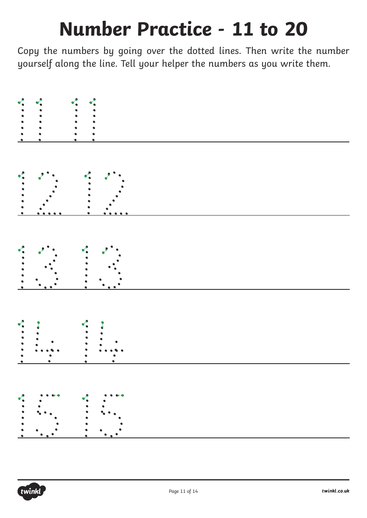#### **Number Practice - 11 to 20**

Copy the numbers by going over the dotted lines. Then write the number yourself along the line. Tell your helper the numbers as you write them.



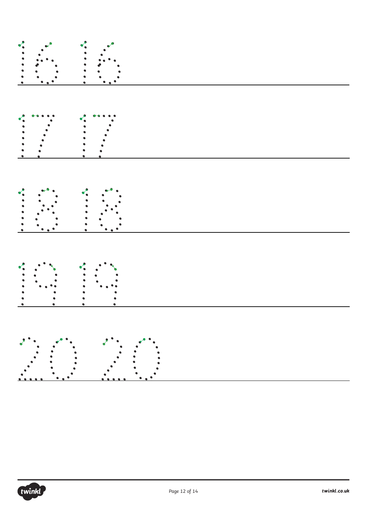| <b></b>          |
|------------------|
|                  |
|                  |
|                  |
| $\ddot{\bullet}$ |
|                  |
|                  |
|                  |
|                  |

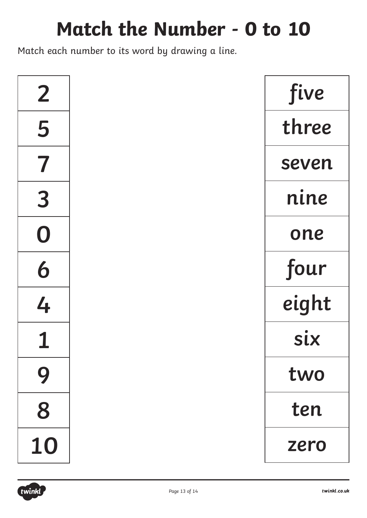#### **Match the Number - 0 to 10**

Match each number to its word by drawing a line.